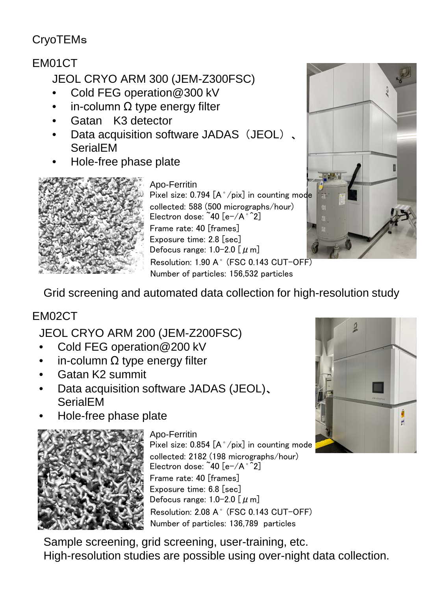## **CryoTEMs**

## EM01CT

JEOL CRYO ARM 300 (JEM-Z300FSC)

- Cold FEG operation@300 kV
- in-column  $Ω$  type energy filter
- Gatan K3 detector
- Data acquisition software JADAS (JEOL)、 **SerialEM**
- Hole-free phase plate



Apo-Ferritin

Resolution: 1.90 A<sup>°</sup> (FSC 0.143 CUT-OFF) Number of particles: 156,532 particles Pixel size: 0.794 [A°/pix] in counting mode collected: 588 (500 micrographs/hour) Electron dose:  $40$   $[e^-/A^{\circ}2]$ Frame rate: 40 [frames] Exposure time: 2.8 [sec] Defocus range: 1.0-2.0 [  $\mu$  m]



Grid screening and automated data collection for high-resolution study

## EM02CT

JEOL CRYO ARM 200 (JEM-Z200FSC)

- Cold FEG operation@200 kV
- in-column  $\Omega$  type energy filter
- Gatan K2 summit
- Data acquisition software JADAS (JEOL)、 **SerialEM**
- Hole-free phase plate



Resolution: 2.08 Å (FSC 0.143 CUT-OFF) Number of particles: 136,789 particles Apo-Ferritin Pixel size:  $0.854$   $[A^{\circ}/pix]$  in counting mode collected: 2182 (198 micrographs/hour) Electron dose:  $40$  [e-/A $^{\circ}$ 2] Frame rate: 40 [frames] Exposure time: 6.8 [sec] Defocus range:  $1.0-2.0$  [ $\mu$  m]

Sample screening, grid screening, user-training, etc. High-resolution studies are possible using over-night data collection.